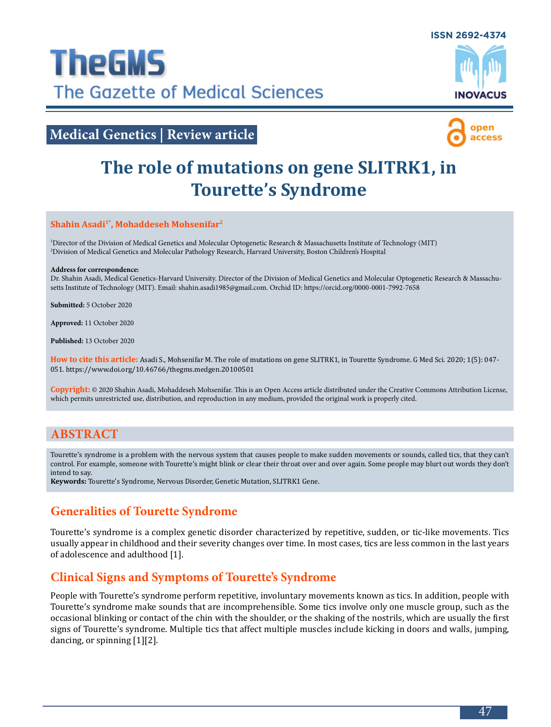

# **Medical Genetics | Review article**



# **The role of mutations on gene SLITRK1, in Tourette's Syndrome**

### **Shahin Asadi1\*, Mohaddeseh Mohsenifar2**

1 Director of the Division of Medical Genetics and Molecular Optogenetic Research & Massachusetts Institute of Technology (MIT) 2 Division of Medical Genetics and Molecular Pathology Research, Harvard University, Boston Children's Hospital

### **Address for correspondence:**

Dr. Shahin Asadi, Medical Genetics-Harvard University. Director of the Division of Medical Genetics and Molecular Optogenetic Research & Massachusetts Institute of Technology (MIT). Email: [shahin.asadi1985@gmail.com](mailto:%20shahin.asadi1985%40gmail.com?subject=). Orchid ID: <https://orcid.org/0000-0001-7992-7658>

**Submitted:** 5 October 2020

**Approved:** 11 October 2020

**Published:** 13 October 2020

**How to cite this article:** Asadi S., Mohsenifar M. The role of mutations on gene SLITRK1, in Tourette Syndrome. G Med Sci. 2020; 1(5): 047- 051. https://www.doi.org/10.46766/thegms.medgen.20100501

**Copyright:** © 2020 Shahin Asadi, Mohaddeseh Mohsenifar. This is an Open Access article distributed under the Creative Commons Attribution License, which permits unrestricted use, distribution, and reproduction in any medium, provided the original work is properly cited.

### **ABSTRACT**

Tourette's syndrome is a problem with the nervous system that causes people to make sudden movements or sounds, called tics, that they can't control. For example, someone with Tourette's might blink or clear their throat over and over again. Some people may blurt out words they don't intend to say.

**Keywords:** Tourette's Syndrome, Nervous Disorder, Genetic Mutation, SLITRK1 Gene.

### **Generalities of Tourette Syndrome**

Tourette's syndrome is a complex genetic disorder characterized by repetitive, sudden, or tic-like movements. Tics usually appear in childhood and their severity changes over time. In most cases, tics are less common in the last years of adolescence and adulthood [1].

### **Clinical Signs and Symptoms of Tourette's Syndrome**

People with Tourette's syndrome perform repetitive, involuntary movements known as tics. In addition, people with Tourette's syndrome make sounds that are incomprehensible. Some tics involve only one muscle group, such as the occasional blinking or contact of the chin with the shoulder, or the shaking of the nostrils, which are usually the first signs of Tourette's syndrome. Multiple tics that affect multiple muscles include kicking in doors and walls, jumping, dancing, or spinning [1][2].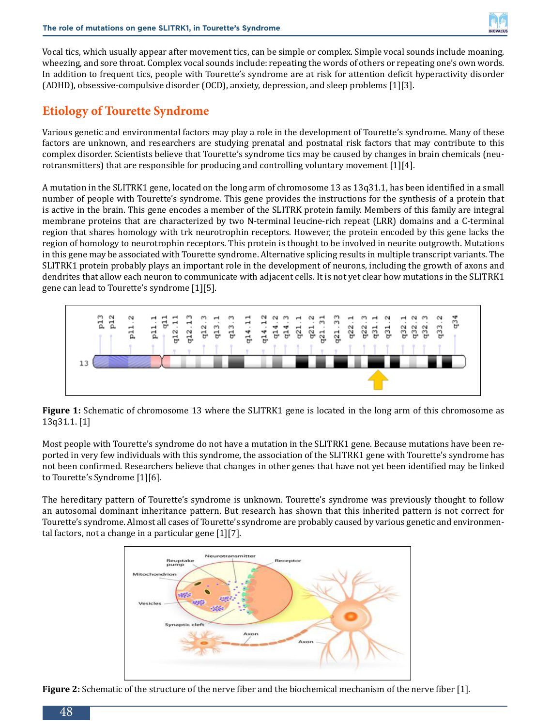

Vocal tics, which usually appear after movement tics, can be simple or complex. Simple vocal sounds include moaning, wheezing, and sore throat. Complex vocal sounds include: repeating the words of others or repeating one's own words. In addition to frequent tics, people with Tourette's syndrome are at risk for attention deficit hyperactivity disorder (ADHD), obsessive-compulsive disorder (OCD), anxiety, depression, and sleep problems [1][3].

### **Etiology of Tourette Syndrome**

Various genetic and environmental factors may play a role in the development of Tourette's syndrome. Many of these factors are unknown, and researchers are studying prenatal and postnatal risk factors that may contribute to this complex disorder. Scientists believe that Tourette's syndrome tics may be caused by changes in brain chemicals (neurotransmitters) that are responsible for producing and controlling voluntary movement [1][4].

A mutation in the SLITRK1 gene, located on the long arm of chromosome 13 as 13q31.1, has been identified in a small number of people with Tourette's syndrome. This gene provides the instructions for the synthesis of a protein that is active in the brain. This gene encodes a member of the SLITRK protein family. Members of this family are integral membrane proteins that are characterized by two N-terminal leucine-rich repeat (LRR) domains and a C-terminal region that shares homology with trk neurotrophin receptors. However, the protein encoded by this gene lacks the region of homology to neurotrophin receptors. This protein is thought to be involved in neurite outgrowth. Mutations in this gene may be associated with Tourette syndrome. Alternative splicing results in multiple transcript variants. The SLITRK1 protein probably plays an important role in the development of neurons, including the growth of axons and dendrites that allow each neuron to communicate with adjacent cells. It is not yet clear how mutations in the SLITRK1 gene can lead to Tourette's syndrome [1][5].



**Figure 1:** Schematic of chromosome 13 where the SLITRK1 gene is located in the long arm of this chromosome as 13q31.1. [1]

Most people with Tourette's syndrome do not have a mutation in the SLITRK1 gene. Because mutations have been reported in very few individuals with this syndrome, the association of the SLITRK1 gene with Tourette's syndrome has not been confirmed. Researchers believe that changes in other genes that have not yet been identified may be linked to Tourette's Syndrome [1][6].

The hereditary pattern of Tourette's syndrome is unknown. Tourette's syndrome was previously thought to follow an autosomal dominant inheritance pattern. But research has shown that this inherited pattern is not correct for Tourette's syndrome. Almost all cases of Tourette's syndrome are probably caused by various genetic and environmental factors, not a change in a particular gene [1][7].



**Figure 2:** Schematic of the structure of the nerve fiber and the biochemical mechanism of the nerve fiber [1].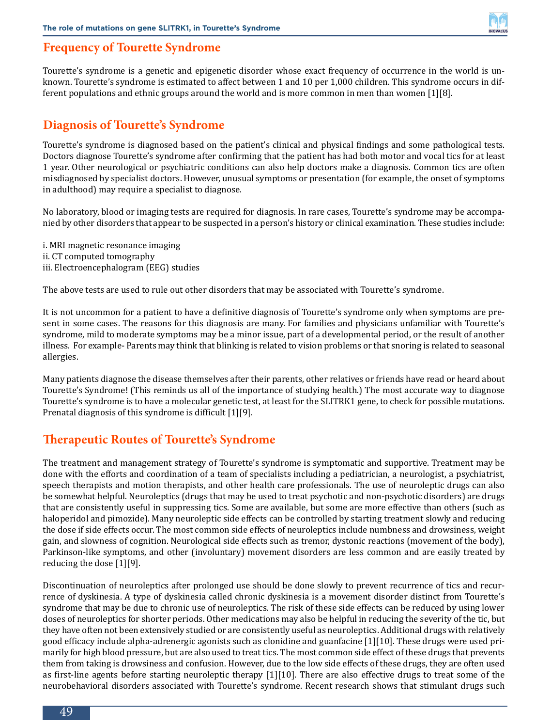### **Frequency of Tourette Syndrome**

Tourette's syndrome is a genetic and epigenetic disorder whose exact frequency of occurrence in the world is unknown. Tourette's syndrome is estimated to affect between 1 and 10 per 1,000 children. This syndrome occurs in different populations and ethnic groups around the world and is more common in men than women [1][8].

### **Diagnosis of Tourette's Syndrome**

Tourette's syndrome is diagnosed based on the patient's clinical and physical findings and some pathological tests. Doctors diagnose Tourette's syndrome after confirming that the patient has had both motor and vocal tics for at least 1 year. Other neurological or psychiatric conditions can also help doctors make a diagnosis. Common tics are often misdiagnosed by specialist doctors. However, unusual symptoms or presentation (for example, the onset of symptoms in adulthood) may require a specialist to diagnose.

No laboratory, blood or imaging tests are required for diagnosis. In rare cases, Tourette's syndrome may be accompanied by other disorders that appear to be suspected in a person's history or clinical examination. These studies include:

i. MRI magnetic resonance imaging ii. CT computed tomography iii. Electroencephalogram (EEG) studies

The above tests are used to rule out other disorders that may be associated with Tourette's syndrome.

It is not uncommon for a patient to have a definitive diagnosis of Tourette's syndrome only when symptoms are present in some cases. The reasons for this diagnosis are many. For families and physicians unfamiliar with Tourette's syndrome, mild to moderate symptoms may be a minor issue, part of a developmental period, or the result of another illness. For example- Parents may think that blinking is related to vision problems or that snoring is related to seasonal allergies.

Many patients diagnose the disease themselves after their parents, other relatives or friends have read or heard about Tourette's Syndrome! (This reminds us all of the importance of studying health.) The most accurate way to diagnose Tourette's syndrome is to have a molecular genetic test, at least for the SLITRK1 gene, to check for possible mutations. Prenatal diagnosis of this syndrome is difficult [1][9].

### **Therapeutic Routes of Tourette's Syndrome**

The treatment and management strategy of Tourette's syndrome is symptomatic and supportive. Treatment may be done with the efforts and coordination of a team of specialists including a pediatrician, a neurologist, a psychiatrist, speech therapists and motion therapists, and other health care professionals. The use of neuroleptic drugs can also be somewhat helpful. Neuroleptics (drugs that may be used to treat psychotic and non-psychotic disorders) are drugs that are consistently useful in suppressing tics. Some are available, but some are more effective than others (such as haloperidol and pimozide). Many neuroleptic side effects can be controlled by starting treatment slowly and reducing the dose if side effects occur. The most common side effects of neuroleptics include numbness and drowsiness, weight gain, and slowness of cognition. Neurological side effects such as tremor, dystonic reactions (movement of the body), Parkinson-like symptoms, and other (involuntary) movement disorders are less common and are easily treated by reducing the dose [1][9].

Discontinuation of neuroleptics after prolonged use should be done slowly to prevent recurrence of tics and recurrence of dyskinesia. A type of dyskinesia called chronic dyskinesia is a movement disorder distinct from Tourette's syndrome that may be due to chronic use of neuroleptics. The risk of these side effects can be reduced by using lower doses of neuroleptics for shorter periods. Other medications may also be helpful in reducing the severity of the tic, but they have often not been extensively studied or are consistently useful as neuroleptics. Additional drugs with relatively good efficacy include alpha-adrenergic agonists such as clonidine and guanfacine [1][10]. These drugs were used primarily for high blood pressure, but are also used to treat tics. The most common side effect of these drugs that prevents them from taking is drowsiness and confusion. However, due to the low side effects of these drugs, they are often used as first-line agents before starting neuroleptic therapy [1][10]. There are also effective drugs to treat some of the neurobehavioral disorders associated with Tourette's syndrome. Recent research shows that stimulant drugs such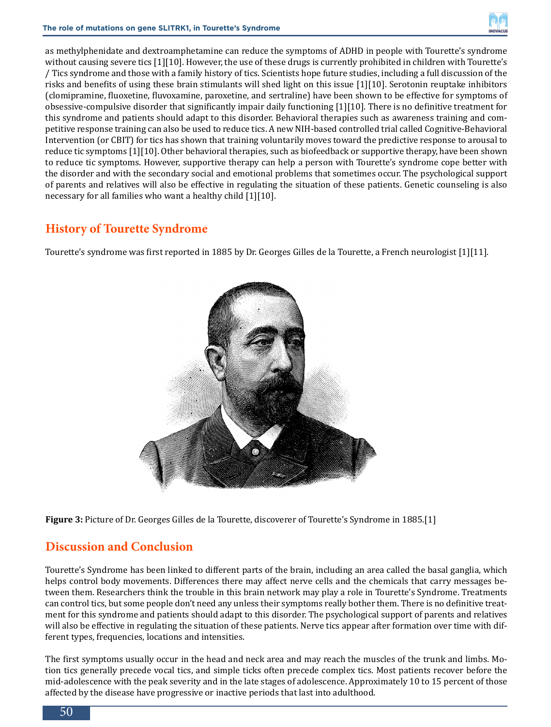

as methylphenidate and dextroamphetamine can reduce the symptoms of ADHD in people with Tourette's syndrome without causing severe tics [1][10]. However, the use of these drugs is currently prohibited in children with Tourette's / Tics syndrome and those with a family history of tics. Scientists hope future studies, including a full discussion of the risks and benefits of using these brain stimulants will shed light on this issue [1][10]. Serotonin reuptake inhibitors (clomipramine, fluoxetine, fluvoxamine, paroxetine, and sertraline) have been shown to be effective for symptoms of obsessive-compulsive disorder that significantly impair daily functioning [1][10]. There is no definitive treatment for this syndrome and patients should adapt to this disorder. Behavioral therapies such as awareness training and competitive response training can also be used to reduce tics. A new NIH-based controlled trial called Cognitive-Behavioral Intervention (or CBIT) for tics has shown that training voluntarily moves toward the predictive response to arousal to reduce tic symptoms [1][10]. Other behavioral therapies, such as biofeedback or supportive therapy, have been shown to reduce tic symptoms. However, supportive therapy can help a person with Tourette's syndrome cope better with the disorder and with the secondary social and emotional problems that sometimes occur. The psychological support of parents and relatives will also be effective in regulating the situation of these patients. Genetic counseling is also necessary for all families who want a healthy child [1][10].

## **History of Tourette Syndrome**

Tourette's syndrome was first reported in 1885 by Dr. Georges Gilles de la Tourette, a French neurologist [1][11].



**Figure 3:** Picture of Dr. Georges Gilles de la Tourette, discoverer of Tourette's Syndrome in 1885.[1]

### **Discussion and Conclusion**

Tourette's Syndrome has been linked to different parts of the brain, including an area called the basal ganglia, which helps control body movements. Differences there may affect nerve cells and the chemicals that carry messages between them. Researchers think the trouble in this brain network may play a role in Tourette's Syndrome. Treatments can control tics, but some people don't need any unless their symptoms really bother them. There is no definitive treatment for this syndrome and patients should adapt to this disorder. The psychological support of parents and relatives will also be effective in regulating the situation of these patients. Nerve tics appear after formation over time with different types, frequencies, locations and intensities.

The first symptoms usually occur in the head and neck area and may reach the muscles of the trunk and limbs. Motion tics generally precede vocal tics, and simple ticks often precede complex tics. Most patients recover before the mid-adolescence with the peak severity and in the late stages of adolescence. Approximately 10 to 15 percent of those affected by the disease have progressive or inactive periods that last into adulthood.